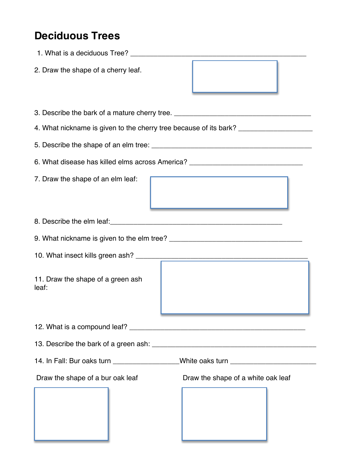## **Deciduous Trees**

| 2. Draw the shape of a cherry leaf.                                               |  |  |  |  |
|-----------------------------------------------------------------------------------|--|--|--|--|
| 3. Describe the bark of a mature cherry tree. __________________________________  |  |  |  |  |
| 4. What nickname is given to the cherry tree because of its bark? _______________ |  |  |  |  |
|                                                                                   |  |  |  |  |
| 6. What disease has killed elms across America? ________________________________  |  |  |  |  |
| 7. Draw the shape of an elm leaf:                                                 |  |  |  |  |
|                                                                                   |  |  |  |  |
|                                                                                   |  |  |  |  |
|                                                                                   |  |  |  |  |
| 11. Draw the shape of a green ash<br>leaf:                                        |  |  |  |  |
|                                                                                   |  |  |  |  |
|                                                                                   |  |  |  |  |
| 14. In Fall: Bur oaks turn __________________White oaks turn ___________________  |  |  |  |  |
| Draw the shape of a bur oak leaf<br>Draw the shape of a white oak leaf            |  |  |  |  |
|                                                                                   |  |  |  |  |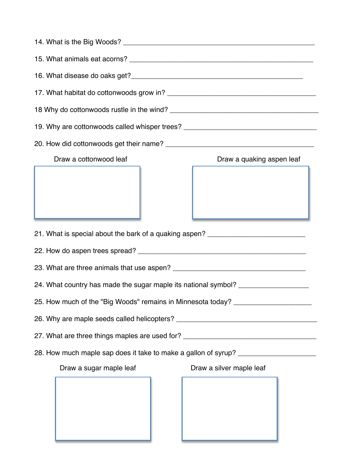| 19. Why are cottonwoods called whisper trees? __________________________________ |                           |  |  |  |
|----------------------------------------------------------------------------------|---------------------------|--|--|--|
|                                                                                  |                           |  |  |  |
| Draw a cottonwood leaf                                                           | Draw a quaking aspen leaf |  |  |  |
|                                                                                  |                           |  |  |  |
| 21. What is special about the bark of a quaking aspen? _________________________ |                           |  |  |  |
|                                                                                  |                           |  |  |  |
|                                                                                  |                           |  |  |  |
| 24. What country has made the sugar maple its national symbol? _________________ |                           |  |  |  |
| 25. How much of the "Big Woods" remains in Minnesota today? ____________________ |                           |  |  |  |
|                                                                                  |                           |  |  |  |
| 27. What are three things maples are used for? _________________________________ |                           |  |  |  |
| 28. How much maple sap does it take to make a gallon of syrup? _________________ |                           |  |  |  |
| Draw a sugar maple leaf                                                          | Draw a silver maple leaf  |  |  |  |
|                                                                                  |                           |  |  |  |